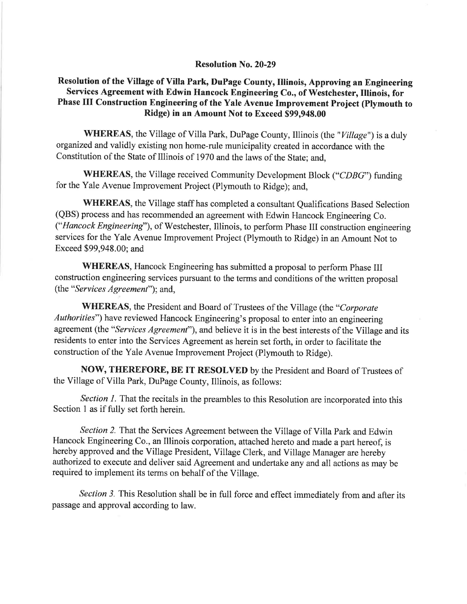### Resolution No.20-29

# Resolution of the Village of Villa Park, DuPage County, Illinois, Approving an Engineering Services Agreement with Edwin Hancock Engineering Co., of Westchester, Illinois, for Phase III Construction Engineering of the Yale Avenue Improvement Project (Plymouth to Ridge) in an Amount Not to Exceed \$99,948.00

WHEREAS, the Village of Villa Park, DuPage County, Illinois (the "Village") is a duly organized and validly existing non home-rule municipality created in accordance with the Constitution of the State of Illinois of 1970 and the laws of the State; and,

WHEREAS, the Village received Community Development Block ("CDBG") funding for the Yale Avenue Improvement Project (Plymouth to Ridge); and,

WHEREAS, the Village staff has completed a consultant Qualifications Based Selection (QBS) process and has recommended an agreement with Edwin Hancock Engineering Co. ("Hancock Engineering"), of Westchester, Illinois, to perform Phase III construction engineering services for the Yale Avenue Improvement Project (Plymouth to Ridge) in an Amount Not to Exceed \$99,948.00; and

WHEREAS, Hancock Engineering has submitted a proposal to perform Phase III construction engineering services pursuant to the terms and conditions of the written proposal (the "Services Agreement"); and,

WHEREAS, the President and Board of Trustees of the Village (the "Corporate Authorities") have reviewed Hancock Engineering's proposal to enter into an engineering agreement (the "Services Agreement"), and believe it is in the best interests of the Village and its residents to enter into the Services Agreement as herein set forth, in order to facilitate the construction of the Yale Avenue Improvement Project (Plymouth to Ridge).

NOW, THEREFORE, BE IT RESOLVED by the President and Board of Trustees of the Village of Villa Park, DuPage County, Illinois, as follows:

Section 1. That the recitals in the preambles to this Resolution are incorporated into this Section 1 as if fully set forth herein.

Section 2. That the Services Agreement between the Village of Villa Park and Edwin Hancock Engineering Co., an Illinois corporation, attached hereto and made a part hereof, is hereby approved and the Village President, Village Clerk, and Village Manager are hereby authorized to execute and deliver said Agreement and undertake any and all actions as may be required to implement its terms on behalf of the Village.

Section 3. This Resolution shall be in full force and effect immediately from and after its passage and approval according to law.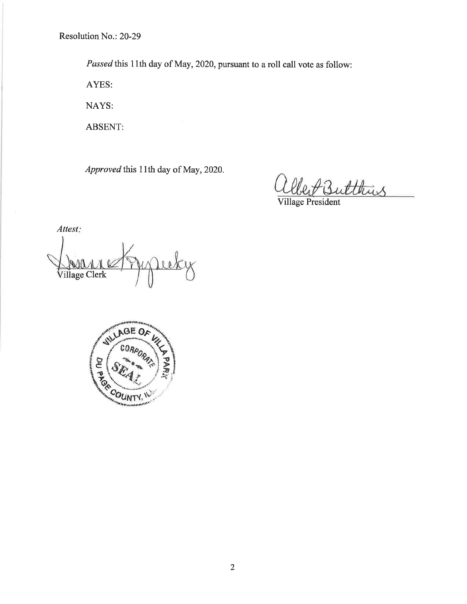Resolution No.: 20-29

Passed this 11th day of May, 2020, pursuant to a roll call vote as follow:

AYES:

NAYS:

ABSENT:

Approved this 11th day of May, 2020.

Butthis

Village President

Attest: Village Clerk

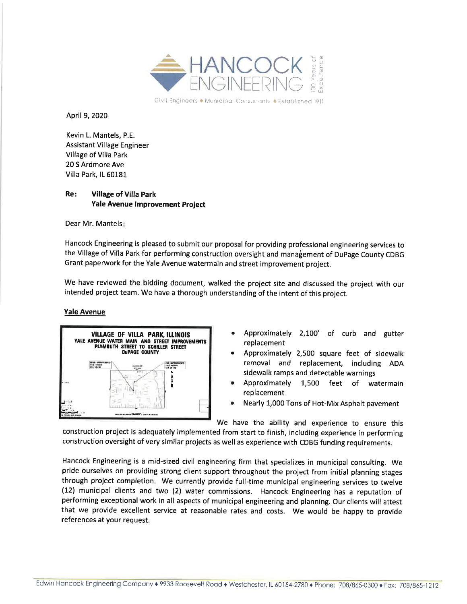

Civil Engineers  $\triangleq$  Municipal Consultants  $\triangleq$  Established 1911

April 9,2020

Kevin L. Mantels, P.E. **Assistant Village Engineer** Village of Villa Park 20 S Ardmore Ave Villa Park, lL 60181

#### Re Village of Villa Park Yale Avenue lmprovement Project

Dear Mr. Mantels

Hancock Engineering is pleased to submit our proposal for providing professional engineering services to the Village of Villa Park for performing construction oversight and management of Dupage County CDBG Grant paperwork for the Yale Avenue watermain and street improvement project.

We have reviewed the bidding document, walked the project site and discussed the project with our intended project team. We have a thorough understanding of the intent of this project.

#### Yale Avenue



- Approximately 2,100' of curb and gutter replacement
- Approximately 2,500 square feet of sidewalk removal and replacement, including ADA sidewalk ramps and detectable warnings a
- Approximately 1,500 feet of watermain replacement a
- Nearly 1,000 Tons of Hot-Mix Asphalt pavement

We have the ability and experience to ensure this

construction project is adequately implemented from start to finish, including experience in performing construction oversight of very similar projects as well as experience with CDBG funding requirements.

Hancock Engineering is a mid-sized civil engineering firm that specializes in municipal consulting. We pride ourselves on providing strong client support throughout the project from initial planning stages through project completion. We currently provide full-time municipal engineering services to twelve (12) municipal clients and two (2) water commissions. Hancock Engineering has a reputation of performing exceptional work in all aspects of municipal engineering and planning. Our clients will attest that we provide excellent service at reasonable rates and costs. We would be happy to provide references at your request.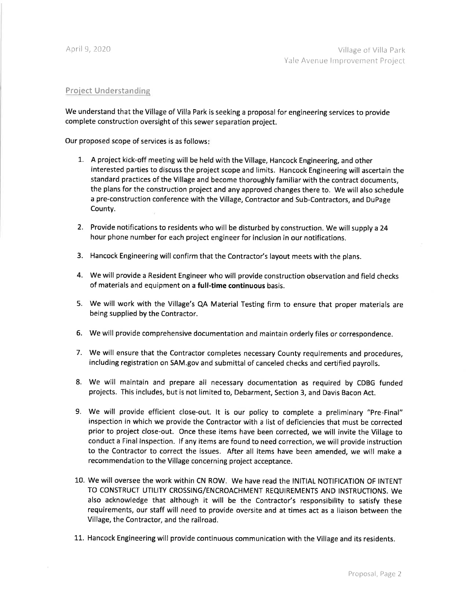#### Project Understanding

We understand that the Village of Villa Park is seeking a proposal for engineering services to provide complete construction oversight of this sewer separation project.

Our proposed scope of services is as follows

- 7. A project kick-off meeting will be held with the Village, Hancock Engineering, and other interested parties to discuss the project scope and limits. Hancock Engineering will ascertain the standard practices of the Village and become thoroughly familiar with the contract documents, the plans for the construction project and any approved changes there to. We will also schedule a pre-construction conference with the Village, Contractor and Sub-Contractors, and DuPage County.
- 2. Provide notifications to residents who will be disturbed by construction. We will supply a <sup>24</sup> hour phone number for each project engineer for inclusion in our notifications.
- 3. Hancock Engineering will confirm that the Contractor's layout meets with the plans.
- 4. We will provide a Resident Engineer who will provide construction observation and field checks of materials and equipment on a full-time continuous basis.
- 5. We will work with the Village's QA Material Testing firm to ensure that proper materials are being supplied by the Contractor.
- 6. We will provide comprehensive documentation and maintain orderly files or correspondence.
- 7. We will ensure that the Contractor completes necessary County requirements and procedures, including registration on SAM.gov and submittal of canceled checks and certified payrolls.
- 8. We will maintain and prepare all necessary documentation as required by CDBG funded projects. This includes, but is not limited to, Debarment, Section 3, and Davis Bacon Act.
- 9. We will provide efficient close-out. lt is our policy to complete a preliminary "Pre-Final" inspection in which we provide the Contractor with a list of deficiencies that must be corrected prior to project close-out. Once these items have been corrected, we will invite the Village to conduct a Final lnspection. lf any items are found to need correction, we will provide instruction to the Contractor to correct the issues. After all items have been amended, we will make <sup>a</sup> recommendation to the Village concerning project acceptance.
- 10. We will oversee the work within CN ROW. We have read the lNlTlAL NOTIFICATION OF INTENT TO CONSTRUCT UTILITY CROSSING/ENCROACHMENT REQUIREMENTS AND INSTRUCTIONS. We also acknowledge that although it will be the Contractor's responsibility to satisfy these requirements, our staff will need to provide oversite and at times act as a liaison between the Village, the Contractor, and the railroad.
- 11. Hancock Engineering will provide continuous communication with the Village and its residents.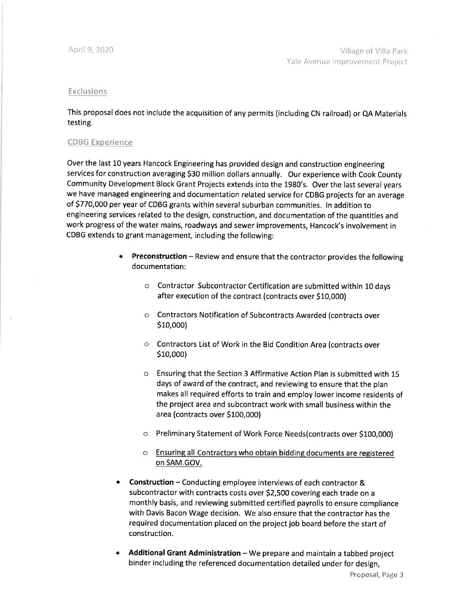#### **Exclusions**

This proposal does not include the acquisition of any permits (including CN railroad) or QA Materials testing.

#### CDSG Experience

Over the last 10 years Hancock Engineering has provided design and construction engineering services for construction averaging \$30 million dollars annually. Our experience with Cook County Community Development Block Grant Projects extends into the 1980's. Over the last several years we have managed engineering and documentation related service for CDBG projects for an average of 5770,000 per year of CDBG grants within several suburban communities. ln addition to engineering services related to the design, construction, and documentation of the quantities and work progress of the water mains, roadways and sewer improvements, Hancock's involvement in CDBG extends to grant management, including the following:

- Preconstruction Review and ensure that the contractor provides the following documentation: a
	- o Contractor Subcontractor Certification are submitted within 10 days after execution of the contract (contracts over \$10,000)
	- o Contractors Notification of Subcontracts Awarded (contracts over Slo,ooo)
	- $\circ$  Contractors List of Work in the Bid Condition Area (contracts over Slo,ooo)
	- o Ensuring that the Section 3 Affirmative Action Plan is submitted with <sup>15</sup> days of award of the contract, and reviewing to ensure that the plan makes all required efforts to train and employ lower income residents of the project area and subcontract work with small business within the area (contracts over S100,000)
	- $\circ$   $\,$  Preliminary Statement of Work Force Needs(contracts over \$100,000)
	- $\circ$  Ensuring all Contractors who obtain bidding documents are registered on SAM.GOV.
- Construction Conducting employee interviews of each contractor & subcontractor with contracts costs over S2,5OO covering each trade on <sup>a</sup> monthly basis, and reviewing submitted certified payrolls to ensure compliance with Davis Bacon Wage decision. We also ensure that the contractor has the required documentation placed on the project job board before the start of construction. a
- Additional Grant Administration  $-$  We prepare and maintain a tabbed project binder including the referenced documentation detailed under for design, a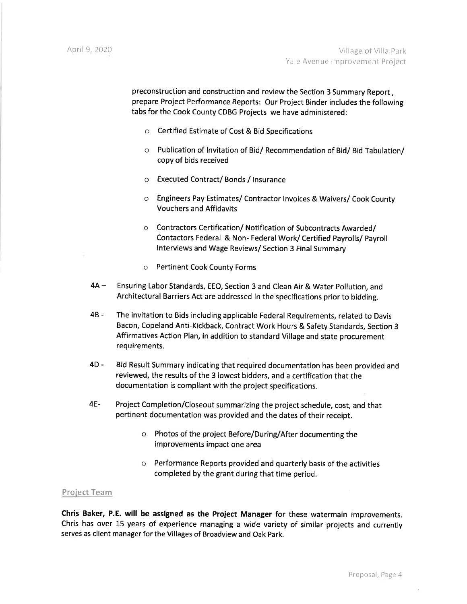preconstruction and construction and review the Section 3 Summary Report , prepare Project Performance Reports: Our Project Binder includes the following tabs for the Cook County CDBG Projects we have administered:

- o Certified Estimate of Cost & Bid Specifications
- o Publication of lnvitation of Bid/ Recommendation of Bid/ Bid Tabulation/ copy of bids received
- o Executed Contract/ Bonds / lnsurance
- o Engineers Pay Estimates/ Contractor lnvoices & Waivers/ Cook County Vouchers and Affidavits
- o Contractors Certification/ Notification of Subcontracts Awarded/ Contactors Federal & Non- Federal Work/ Certified Payrolls/ payroll lnterviews and Wage Reviews/ Section 3 Final Summary
- o Pertinent Cook County Forms
- 4A-Ensuring Labor Standards, EEO, Section 3 and Clean Air & Water pollution, and Architectural Barriers Act are addressed in the specifications prior to bidding.
- 48- The invitation to Bids including applicable Federal Requirements, related to Davis Bacon, copeland Anti-Kickback, contract work Hours & safety standards, section 3 Affirmatives Action Plan, in addition to standard Village and state procurement requirements.
- 4D- Bid Result Summary indicating that required documentation has been provided and reviewed, the results of the 3 lowest bidders, and a certification that the documentation is compliant with the project specifications.
- Project Completion/Closeout summarizing the project schedule, cost, and that pertinent documentation was provided and the dates of their receipt. 4E
	- o Photos of the project Before/During/After documenting the improvements impact one area
	- $\circ$  Performance Reports provided and quarterly basis of the activities completed by the grant during that time period.

#### Proiect Team

Chris Baker, P.E. will be assigned as the Project Manager for these watermain improvements. Chris has over 15 years of experience managing a wide variety of similar projects and currently serves as client manager for the Villages of Broadview and Oak park.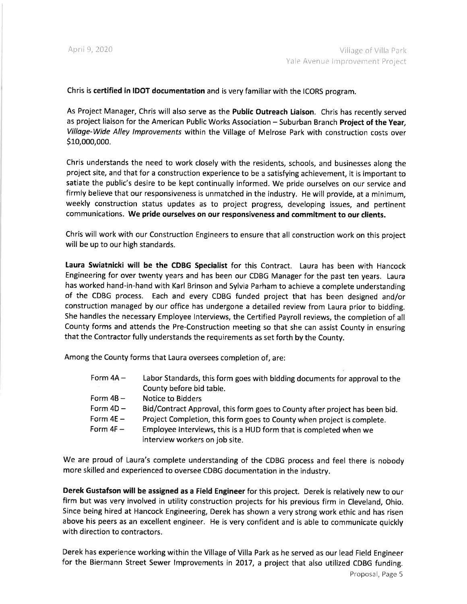Chris is certified in IDOT documentation and is very familiar with the ICORS program.

As Project Manager, Chris will also serve as the Public Outreach Liaison. Chris has recently served as project liaison for the American Public Works Association - Suburban Branch Project of the Year, Villoge-Wide Alley lmprovements within the Village of Melrose Park with construction costs over S1o,ooo,ooo.

Chris understands the need to work closely with the residents, schools, and businesses along the project site, and that for a construction experience to be a satisfying achievement, it is important to satiate the public's desire to be kept continually informed. We pride ourselves on our service and firmly believe that our responsiveness is unmatched in the industry. He will provide, at a minimum, weekly construction status updates as to project progress, developing issues, and pertinent communications. We pride ourselves on our responsiveness and commitment to our clients.

Chris will work with our Construction Engineers to ensure that all construction work on this project will be up to our high standards.

Laura Swiatnicki will be the CDBG Specialist for this Contract. Laura has been with Hancock Engineering for over twenty years and has been our CDBG Manager for the past ten years. Laura has worked hand-in-hand with Karl Brinson and Sylvia Parham to achieve a complete understanding of the CDBG process. Each and every CDBG funded project that has been designed and/or construction managed by our office has undergone a detailed review from Laura prior to bidding. She handles the necessary Employee lnterviews, the Certified Payroll reviews, the completion of all County forms and attends the Pre-Construction meeting so that she can assist County in ensuring that the Contractor fully understands the requirements as set forth by the County.

Among the County forms that Laura oversees completion of, are:

| Form $4A -$ | Labor Standards, this form goes with bidding documents for approval to the                          |
|-------------|-----------------------------------------------------------------------------------------------------|
|             | County before bid table.                                                                            |
| Form $4B -$ | Notice to Bidders                                                                                   |
| Form $4D -$ | Bid/Contract Approval, this form goes to County after project has been bid.                         |
| Form $4E -$ | Project Completion, this form goes to County when project is complete.                              |
| Form $4F -$ | Employee Interviews, this is a HUD form that is completed when we<br>interview workers on job site. |

We are proud of Laura's complete understanding of the CDBG process and feel there is nobody more skilled and experienced to oversee CDBG documentation in the industry.

Derek Gustafson will be assigned as a Field Engineer for this project. Derek is relatively new to our firm but was very involved in utility construction projects for his previous firm in Cleveland, Ohio. Since being hired at Hancock Engineering, Derek has shown a very strong work ethic and has risen above his peers as an excellent engineer. He is very confident and is able to communicate quickly with direction to contractors.

Derek has experience working within the Village of Villa Park as he served as our lead Field Engineer for the Biermann Street Sewer Improvements in 2017, a project that also utilized CDBG funding.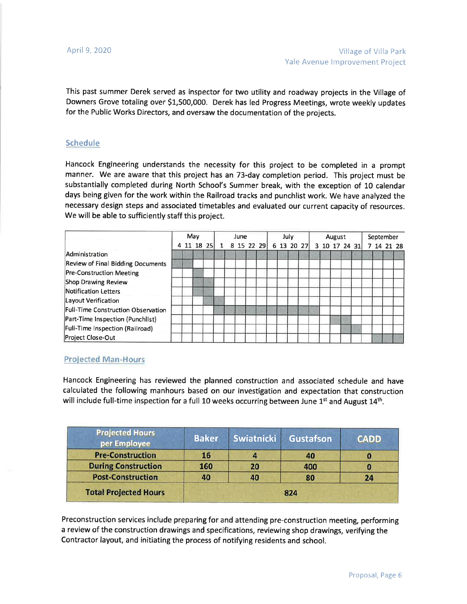This past summer Derek served as inspector for two utility and roadway projects in the Village of Downers Grove totaling over \$1,500,000. Derek has led Progress Meetings, wrote weekly updates for the Public works Directors, and oversaw the documentation of the projects.

#### Schedule

Hancock Engineering understands the necessity for this project to be completed in a prompt manner. We are aware that this project has an 73-day completion period. This project must be substantially completed during North School's Summer break, with the exception of 10 calendar days being given for the work within the Railroad tracks and punchlist work. We have analyzed the necessary design steps and associated timetables and evaluated our current capacity of resources. We will be able to sufficiently staff this project.

|                                          | May |  | June       |  |  |  | July         |  |  | August     |  |  |  | September |               |  |  |  |  |  |            |
|------------------------------------------|-----|--|------------|--|--|--|--------------|--|--|------------|--|--|--|-----------|---------------|--|--|--|--|--|------------|
|                                          |     |  | 4 11 18 25 |  |  |  | 1 8 15 22 29 |  |  | 6 13 20 27 |  |  |  |           | 3 10 17 24 31 |  |  |  |  |  | 7 14 21 28 |
| Administration                           |     |  |            |  |  |  |              |  |  |            |  |  |  |           |               |  |  |  |  |  |            |
| <b>Review of Final Bidding Documents</b> |     |  |            |  |  |  |              |  |  |            |  |  |  |           |               |  |  |  |  |  |            |
| <b>Pre-Construction Meeting</b>          |     |  |            |  |  |  |              |  |  |            |  |  |  |           |               |  |  |  |  |  |            |
| Shop Drawing Review                      |     |  |            |  |  |  |              |  |  |            |  |  |  |           |               |  |  |  |  |  |            |
| Notification Letters                     |     |  |            |  |  |  |              |  |  |            |  |  |  |           |               |  |  |  |  |  |            |
| Layout Verification                      |     |  |            |  |  |  |              |  |  |            |  |  |  |           |               |  |  |  |  |  |            |
| Full-Time Construction Observation       |     |  |            |  |  |  |              |  |  |            |  |  |  |           |               |  |  |  |  |  |            |
| Part-Time Inspection (Punchlist)         |     |  |            |  |  |  |              |  |  |            |  |  |  |           |               |  |  |  |  |  |            |
| Full-Time Inspection (Railroad)          |     |  |            |  |  |  |              |  |  |            |  |  |  |           |               |  |  |  |  |  |            |
| Project Close-Out                        |     |  |            |  |  |  |              |  |  |            |  |  |  |           |               |  |  |  |  |  |            |

### Proiected Man-Hours

Hancock Engineering has reviewed the planned construction and associated schedule and have calculated the following manhours based on our investigation and expectation that construction will include full-time inspection for a full 10 weeks occurring between June  $1<sup>st</sup>$  and August  $14<sup>th</sup>$ .

| 16 |           | 40  |     |
|----|-----------|-----|-----|
|    | 20        | 400 | Ω   |
|    | 40        | 80  | 24  |
|    | 160<br>40 |     | 824 |

Preconstruction services include preparing for and attending pre-construction meeting, performing a review of the construction drawings and specifications, reviewing shop drawings, verifying the Contractor layout, and initiating the process of notifying residents and school.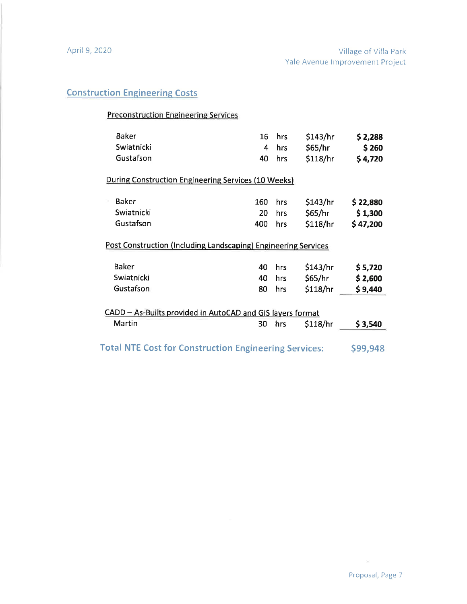# **Construction Engineering Costs**

# Preconstruction Engineering Services

| <b>Baker</b><br>Swiatnicki<br>Gustafson                                                                   | 16<br>4<br>40    | hrs<br>hrs<br>hrs | \$143/hr<br>\$65/hr<br>\$118/hr | \$2,288<br>\$260<br>\$4,720     |
|-----------------------------------------------------------------------------------------------------------|------------------|-------------------|---------------------------------|---------------------------------|
| <b>During Construction Engineering Services (10 Weeks)</b>                                                |                  |                   |                                 |                                 |
| <b>Baker</b><br>Swiatnicki<br>Gustafson<br>Post Construction (Including Landscaping) Engineering Services | 160<br>20<br>400 | hrs<br>hrs<br>hrs | \$143/hr<br>\$65/hr<br>\$118/hr | \$22,880<br>\$1,300<br>\$47,200 |
| <b>Baker</b><br>Swiatnicki<br>Gustafson                                                                   | 40<br>40<br>80   | hrs<br>hrs<br>hrs | \$143/hr<br>\$65/hr<br>\$118/hr | \$5,720<br>\$2,600<br>\$9,440   |
| CADD - As-Builts provided in AutoCAD and GIS layers format<br>Martin                                      | 30               | hrs               | \$118/hr                        | \$3,540                         |
| <b>Total NTE Cost for Construction Engineering Services:</b>                                              |                  | \$99,948          |                                 |                                 |

 $\langle \hat{m} \rangle$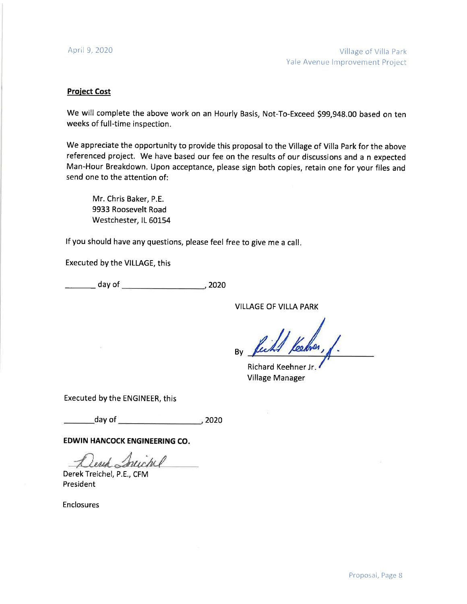#### Proiect Cost

We will complete the above work on an Hourly Basis, Not-To-Exceed 599,948.00 based on ten weeks of full-time inspection.

We appreciate the opportunity to provide this proposal to the Village of Villa Park for the above referenced project. We have based our fee on the results of our discussions and a n expected Man-Hour Breakdown. Upon acceptance, please sign both copies, retain one for your files and send one to the attention of:

Mr. Chris Baker, P.E. 9933 Roosevelt Road Westchester, IL 60154

lf you should have any questions, please feel free to give me a call

Executed by the VILLAGE, this

day of 2020

VILLAGE OF VILLA PARK

By

Richard Keehner Jr Village Manager

Executed by the ENGINEER, this

\_day of <sup>2020</sup>

EDWIN HANCOCK ENGINEERING CO

Dent Inichel

Derek Treichel, P.E., CFM President

Enclosures